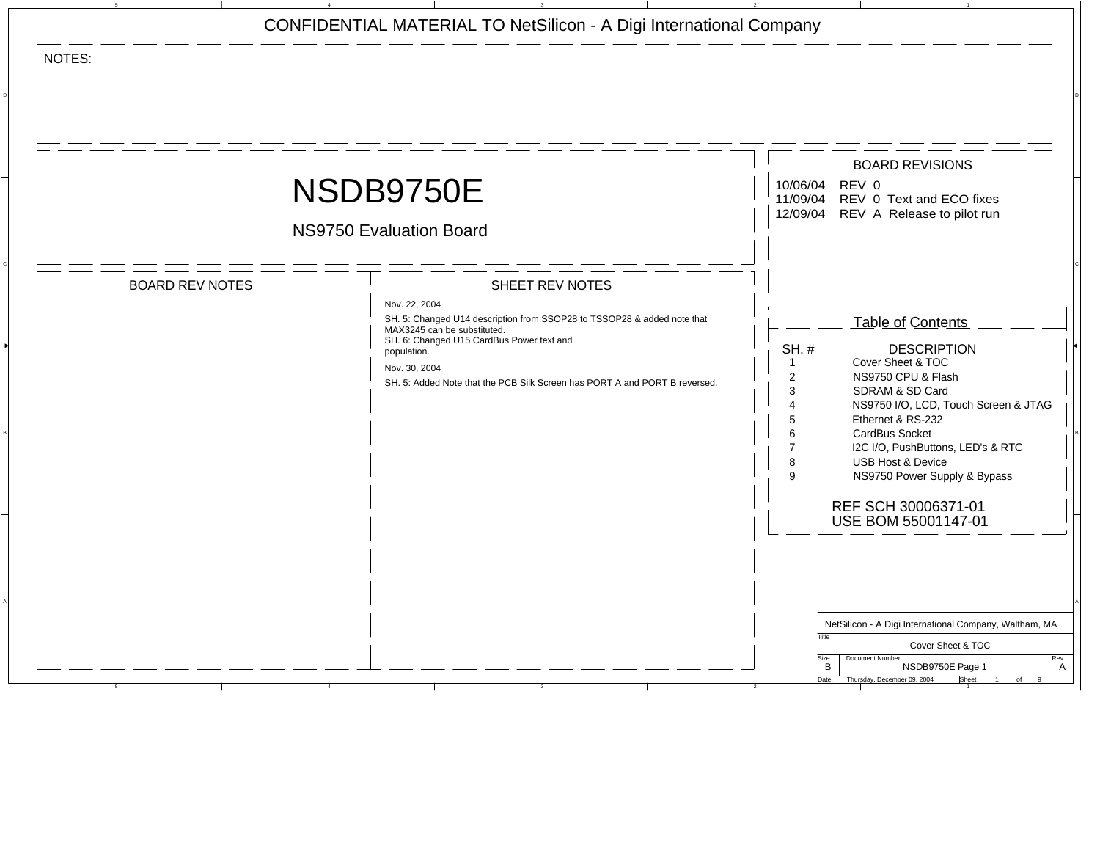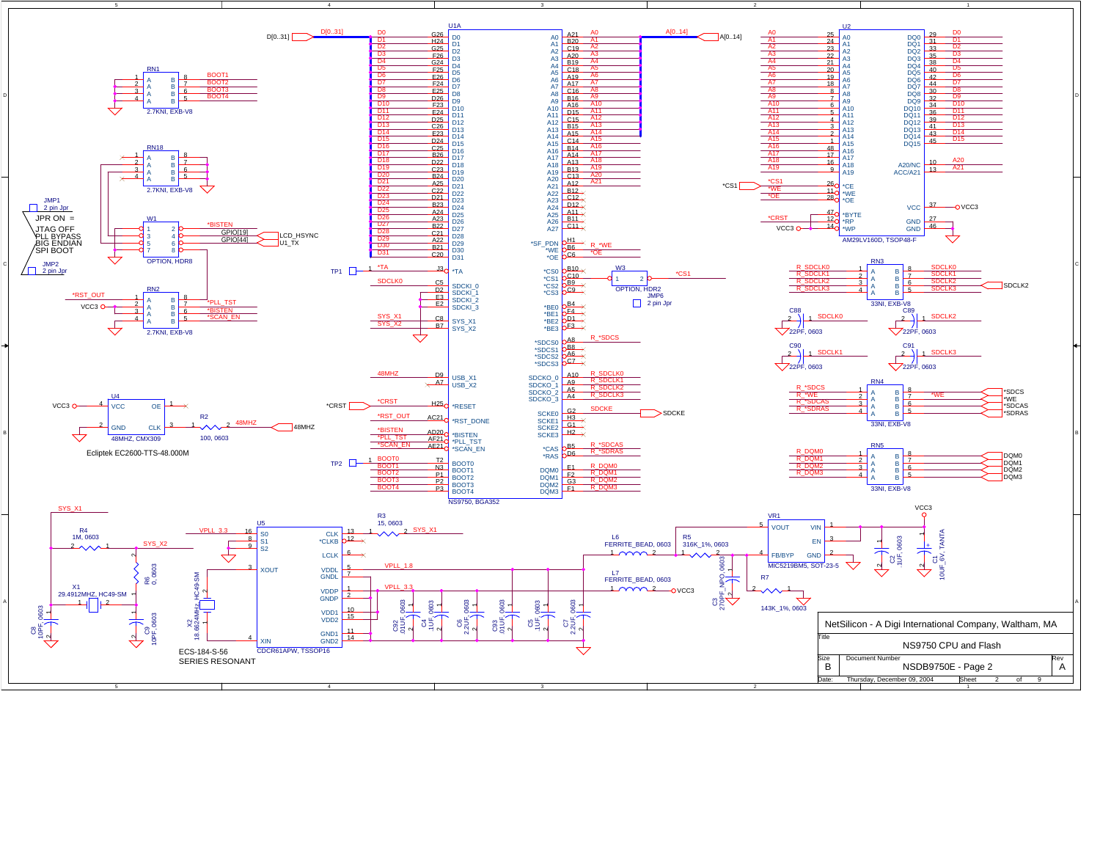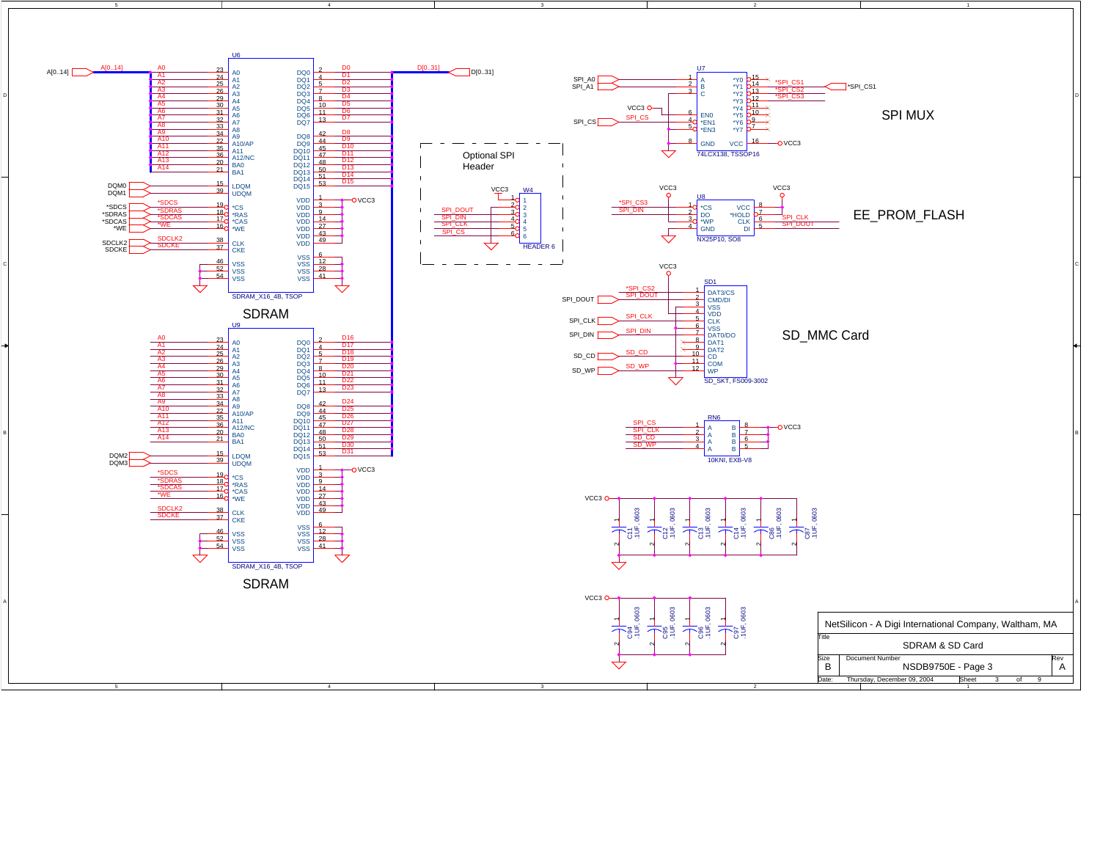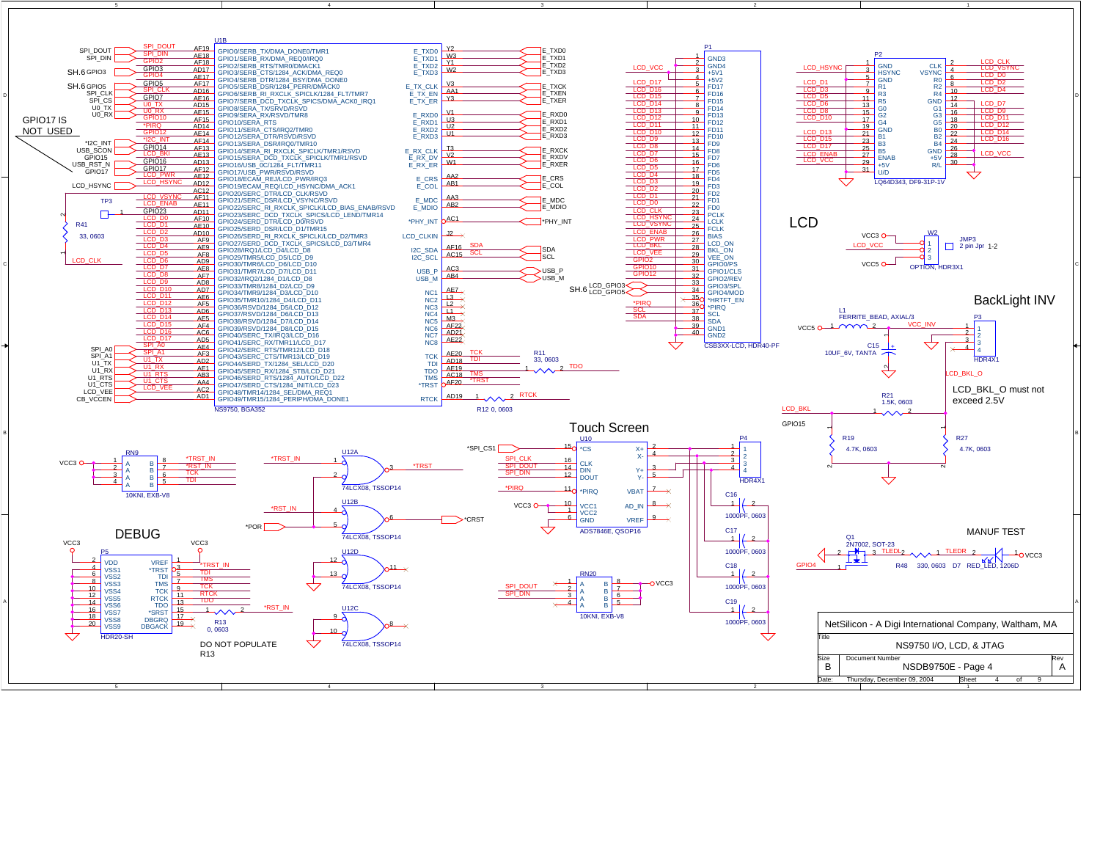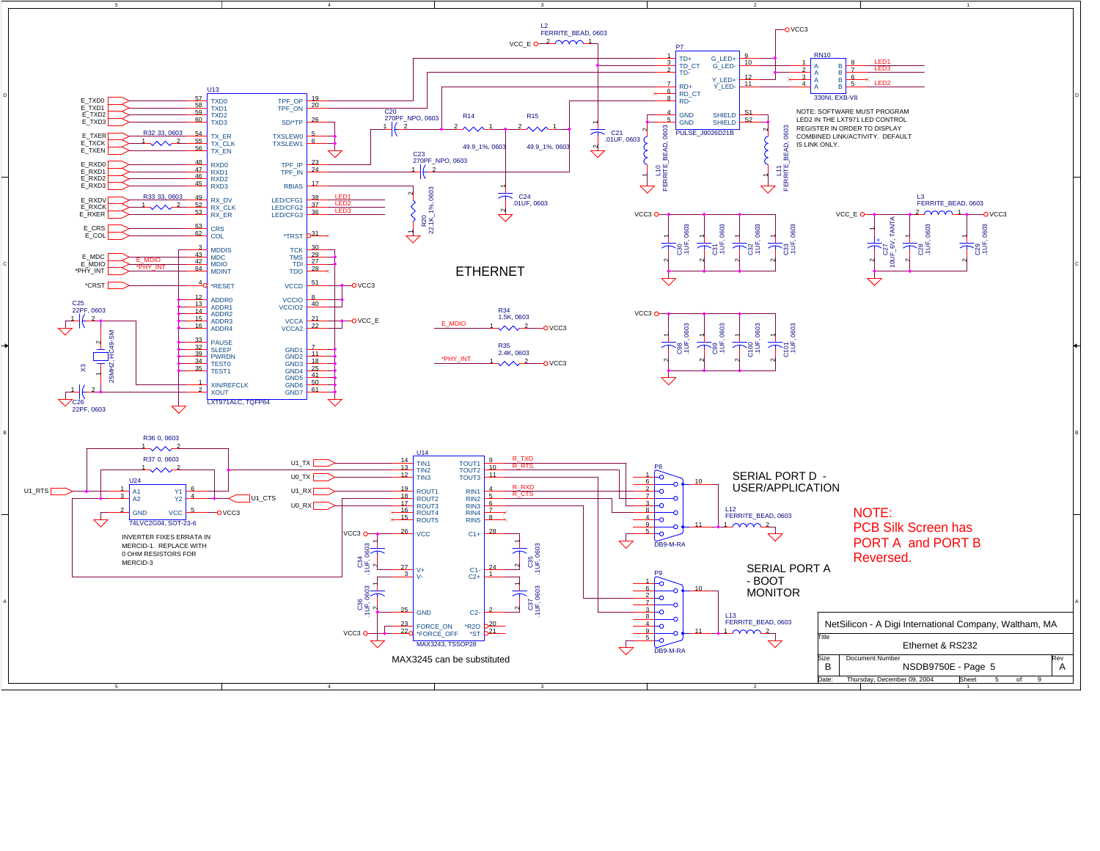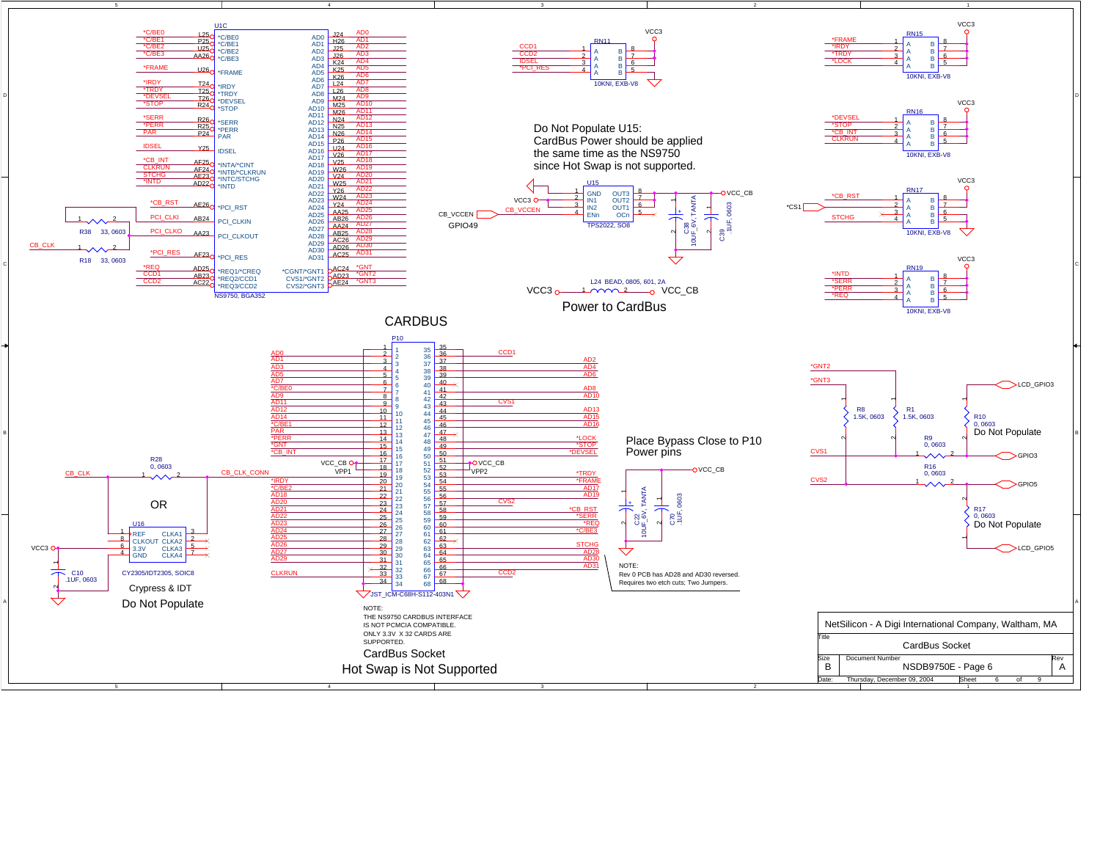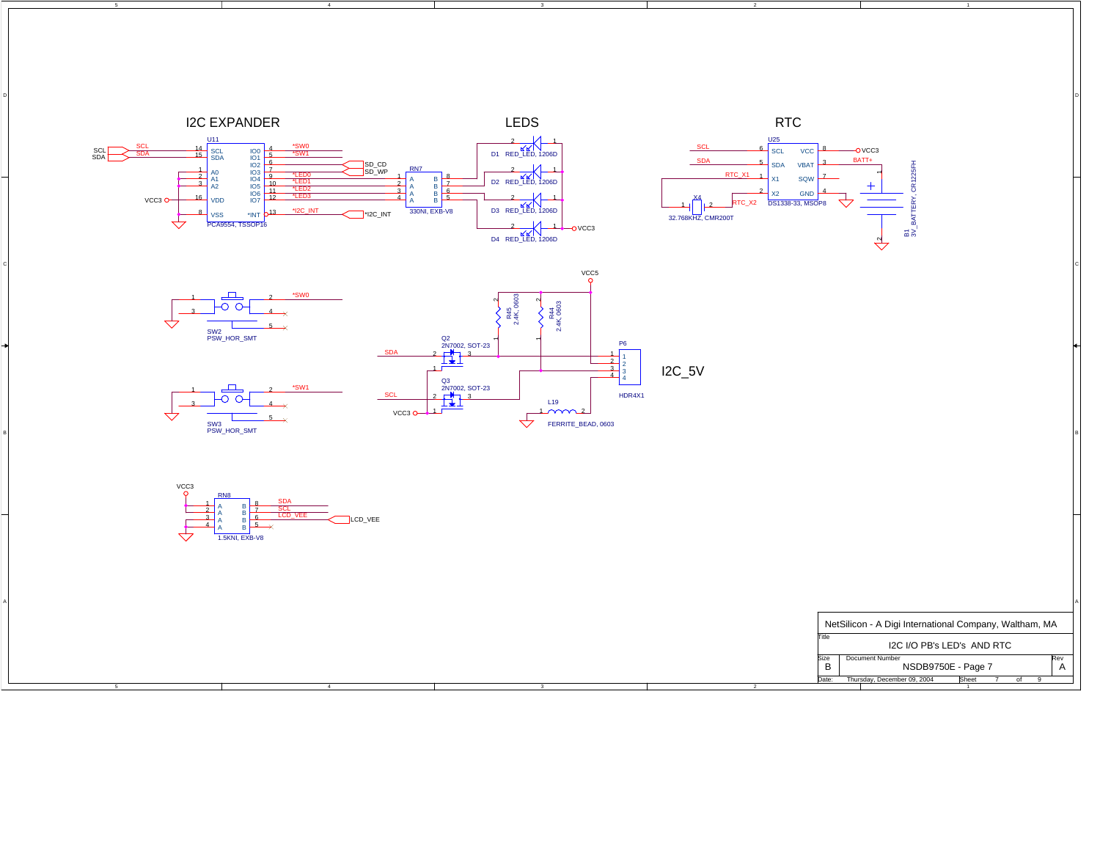

5

4

 $\overline{\textbf{3}}$  and the contract of  $\overline{\textbf{2}}$  and  $\overline{\textbf{4}}$  and  $\overline{\textbf{4}}$  and  $\overline{\textbf{4}}$  and  $\overline{\textbf{4}}$  and  $\overline{\textbf{4}}$  and  $\overline{\textbf{4}}$  and  $\overline{\textbf{4}}$  and  $\overline{\textbf{4}}$  and  $\overline{\textbf{4}}$  and  $\overline{\textbf{4}}$  and  $\overline{\textbf{4}}$  a

2 and  $\overline{a}$  and  $\overline{a}$  and  $\overline{a}$  and  $\overline{a}$  and  $\overline{a}$  and  $\overline{a}$  and  $\overline{a}$  and  $\overline{a}$  and  $\overline{a}$  and  $\overline{a}$  and  $\overline{a}$  and  $\overline{a}$  and  $\overline{a}$  and  $\overline{a}$  and  $\overline{a}$  and  $\overline{a}$  and  $\overline{a}$ 

1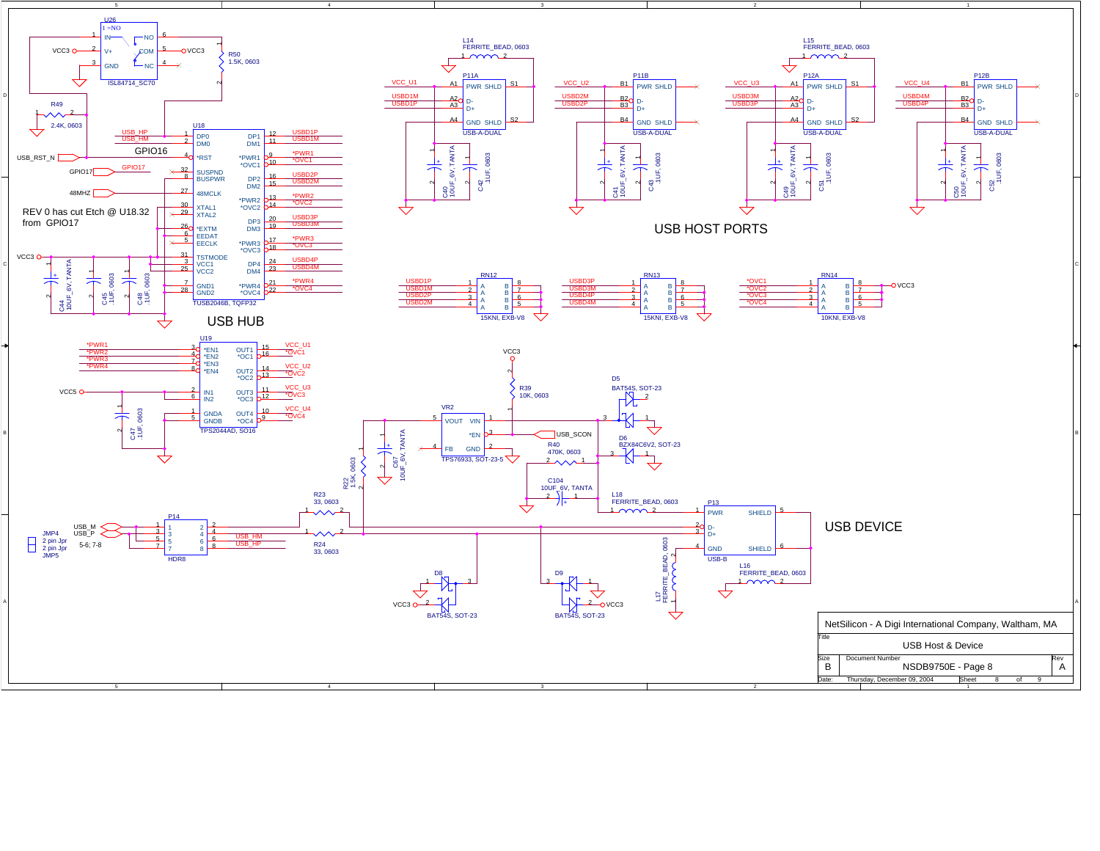